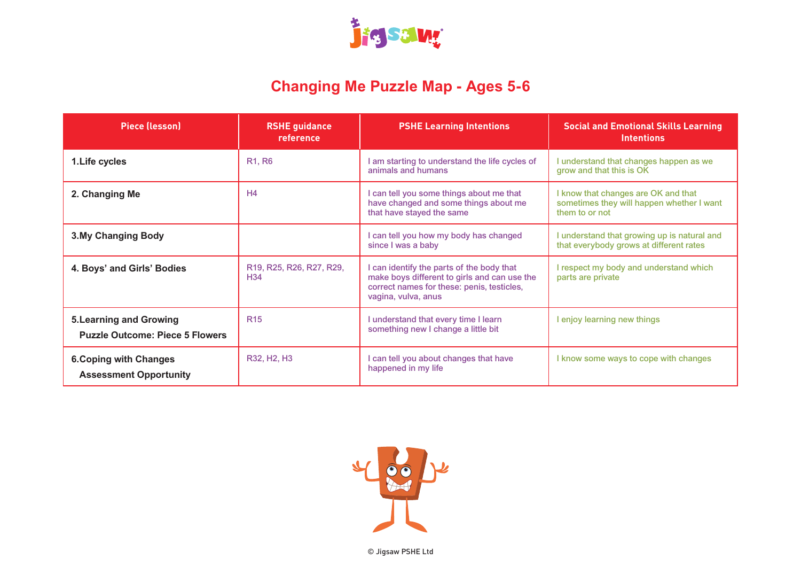

### **Changing Me Puzzle Map - Ages 5-6**

| <b>Piece (lesson)</b>                                                    | <b>RSHE guidance</b><br>reference           | <b>PSHE Learning Intentions</b>                                                                                                                                | <b>Social and Emotional Skills Learning</b><br><b>Intentions</b>                                   |
|--------------------------------------------------------------------------|---------------------------------------------|----------------------------------------------------------------------------------------------------------------------------------------------------------------|----------------------------------------------------------------------------------------------------|
| 1. Life cycles                                                           | R <sub>1</sub> , R <sub>6</sub>             | I am starting to understand the life cycles of<br>animals and humans                                                                                           | I understand that changes happen as we<br>grow and that this is OK                                 |
| 2. Changing Me                                                           | H <sub>4</sub>                              | I can tell you some things about me that<br>have changed and some things about me<br>that have stayed the same                                                 | I know that changes are OK and that<br>sometimes they will happen whether I want<br>them to or not |
| <b>3.My Changing Body</b>                                                |                                             | I can tell you how my body has changed<br>since I was a baby                                                                                                   | I understand that growing up is natural and<br>that everybody grows at different rates             |
| 4. Boys' and Girls' Bodies                                               | R19, R25, R26, R27, R29,<br>H <sub>34</sub> | I can identify the parts of the body that<br>make boys different to girls and can use the<br>correct names for these: penis, testicles,<br>vagina, vulva, anus | I respect my body and understand which<br>parts are private                                        |
| <b>5. Learning and Growing</b><br><b>Puzzle Outcome: Piece 5 Flowers</b> | <b>R15</b>                                  | I understand that every time I learn<br>something new I change a little bit                                                                                    | I enjoy learning new things                                                                        |
| <b>6. Coping with Changes</b><br><b>Assessment Opportunity</b>           | R32, H <sub>2</sub> , H <sub>3</sub>        | I can tell you about changes that have<br>happened in my life                                                                                                  | I know some ways to cope with changes                                                              |

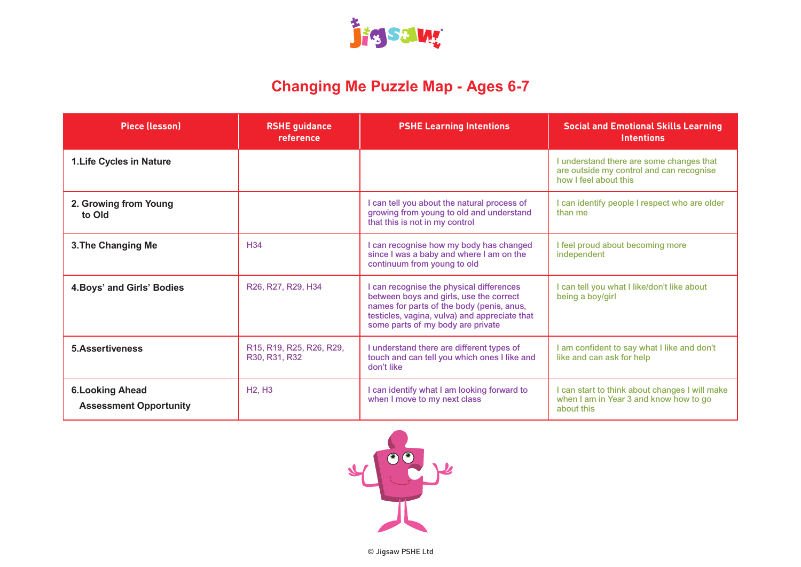

### **Changing Me Puzzle Map - Ages 6-7**

| <b>Piece (lesson)</b>                                    | <b>RSHE guidance</b><br>reference         | <b>PSHE Learning Intentions</b>                                                                                                                                                                                        | <b>Social and Emotional Skills Learning</b><br><b>Intentions</b>                                              |
|----------------------------------------------------------|-------------------------------------------|------------------------------------------------------------------------------------------------------------------------------------------------------------------------------------------------------------------------|---------------------------------------------------------------------------------------------------------------|
| <b>1.Life Cycles in Nature</b>                           |                                           |                                                                                                                                                                                                                        | I understand there are some changes that<br>are outside my control and can recognise<br>how I feel about this |
| 2. Growing from Young<br>to Old                          |                                           | I can tell you about the natural process of<br>growing from young to old and understand<br>that this is not in my control                                                                                              | I can identify people I respect who are older<br>than me                                                      |
| 3. The Changing Me                                       | H <sub>34</sub>                           | I can recognise how my body has changed<br>since I was a baby and where I am on the<br>continuum from young to old                                                                                                     | I feel proud about becoming more<br>independent                                                               |
| 4. Boys' and Girls' Bodies                               | R26, R27, R29, H34                        | I can recognise the physical differences<br>between boys and girls, use the correct<br>names for parts of the body (penis, anus,<br>testicles, vagina, vulva) and appreciate that<br>some parts of my body are private | I can tell you what I like/don't like about<br>being a boy/girl                                               |
| <b>5.Assertiveness</b>                                   | R15, R19, R25, R26, R29,<br>R30, R31, R32 | I understand there are different types of<br>touch and can tell you which ones I like and<br>don't like                                                                                                                | I am confident to say what I like and don't<br>like and can ask for help                                      |
| <b>6. Looking Ahead</b><br><b>Assessment Opportunity</b> | <b>H2, H3</b>                             | I can identify what I am looking forward to<br>when I move to my next class                                                                                                                                            | I can start to think about changes I will make<br>when I am in Year 3 and know how to go<br>about this        |

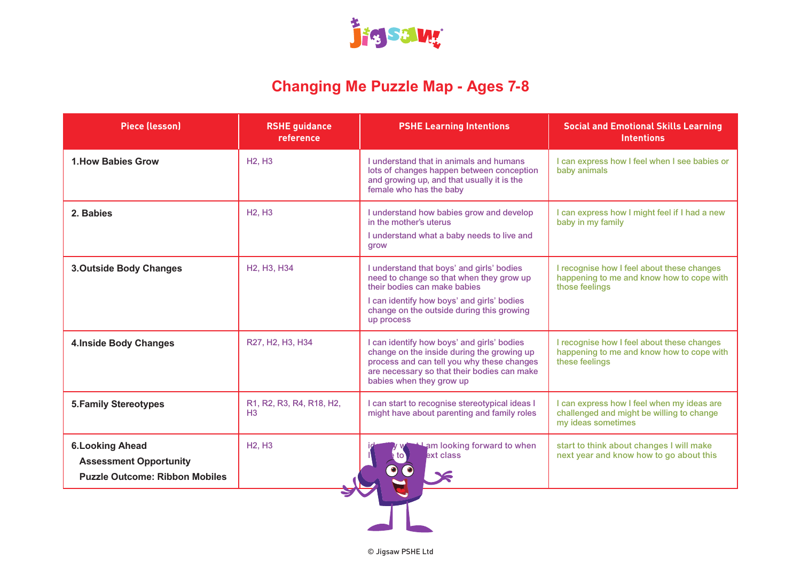

### **Changing Me Puzzle Map - Ages 7-8**

| <b>Piece (lesson)</b>                                                                             | <b>RSHE guidance</b><br>reference                 | <b>PSHE Learning Intentions</b>                                                                                                                                                                                                | <b>Social and Emotional Skills Learning</b><br><b>Intentions</b>                                              |
|---------------------------------------------------------------------------------------------------|---------------------------------------------------|--------------------------------------------------------------------------------------------------------------------------------------------------------------------------------------------------------------------------------|---------------------------------------------------------------------------------------------------------------|
| <b>1. How Babies Grow</b>                                                                         | <b>H2, H3</b>                                     | Lunderstand that in animals and humans<br>lots of changes happen between conception<br>and growing up, and that usually it is the<br>female who has the baby                                                                   | I can express how I feel when I see babies or<br>baby animals                                                 |
| 2. Babies                                                                                         | <b>H2. H3</b>                                     | I understand how babies grow and develop<br>in the mother's uterus<br>I understand what a baby needs to live and<br>grow                                                                                                       | I can express how I might feel if I had a new<br>baby in my family                                            |
| <b>3.Outside Body Changes</b>                                                                     | H <sub>2</sub> , H <sub>3</sub> , H <sub>34</sub> | I understand that boys' and girls' bodies<br>need to change so that when they grow up<br>their bodies can make babies<br>I can identify how boys' and girls' bodies<br>change on the outside during this growing<br>up process | I recognise how I feel about these changes<br>happening to me and know how to cope with<br>those feelings     |
| <b>4.Inside Body Changes</b>                                                                      | R27, H2, H3, H34                                  | I can identify how boys' and girls' bodies<br>change on the inside during the growing up<br>process and can tell you why these changes<br>are necessary so that their bodies can make<br>babies when they grow up              | I recognise how I feel about these changes<br>happening to me and know how to cope with<br>these feelings     |
| <b>5. Family Stereotypes</b>                                                                      | R1, R2, R3, R4, R18, H2,<br>H <sub>3</sub>        | I can start to recognise stereotypical ideas I<br>might have about parenting and family roles                                                                                                                                  | I can express how I feel when my ideas are<br>challenged and might be willing to change<br>my ideas sometimes |
| <b>6. Looking Ahead</b><br><b>Assessment Opportunity</b><br><b>Puzzle Outcome: Ribbon Mobiles</b> | <b>H2, H3</b>                                     | am looking forward to when<br>ext class                                                                                                                                                                                        | start to think about changes I will make<br>next year and know how to go about this                           |
|                                                                                                   |                                                   |                                                                                                                                                                                                                                |                                                                                                               |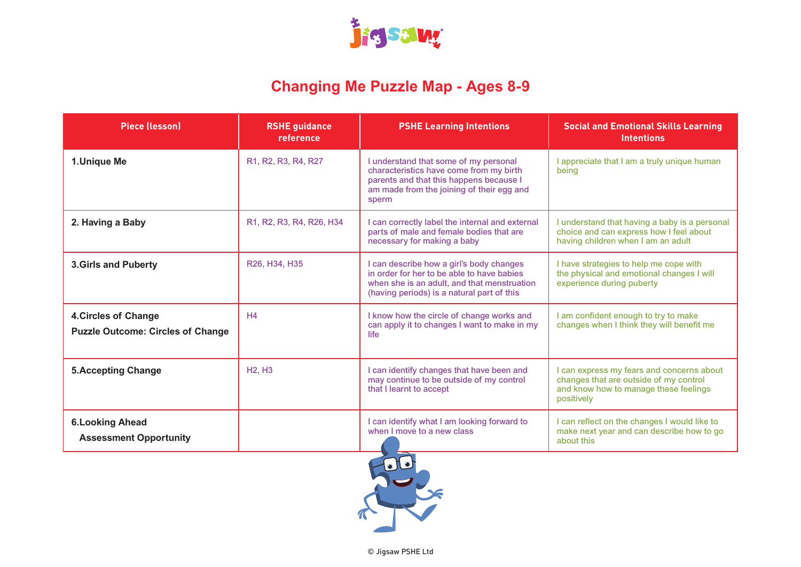

# **Changing Me Puzzle Map - Ages 8-9**

| <b>Piece (lesson)</b>                                                   | <b>RSHE guidance</b><br>reference | <b>PSHE Learning Intentions</b>                                                                                                                                                     | <b>Social and Emotional Skills Learning</b><br><b>Intentions</b>                                                                           |
|-------------------------------------------------------------------------|-----------------------------------|-------------------------------------------------------------------------------------------------------------------------------------------------------------------------------------|--------------------------------------------------------------------------------------------------------------------------------------------|
| 1.Unique Me                                                             | R1, R2, R3, R4, R27               | I understand that some of my personal<br>characteristics have come from my birth<br>parents and that this happens because I<br>am made from the joining of their egg and<br>sperm   | I appreciate that I am a truly unique human<br>beina                                                                                       |
| 2. Having a Baby                                                        | R1, R2, R3, R4, R26, H34          | I can correctly label the internal and external<br>parts of male and female bodies that are<br>necessary for making a baby                                                          | I understand that having a baby is a personal<br>choice and can express how I feel about<br>having children when I am an adult             |
| <b>3.Girls and Puberty</b>                                              | R26, H34, H35                     | I can describe how a girl's body changes<br>in order for her to be able to have babies<br>when she is an adult, and that menstruation<br>(having periods) is a natural part of this | I have strategies to help me cope with<br>the physical and emotional changes I will<br>experience during puberty                           |
| <b>4. Circles of Change</b><br><b>Puzzle Outcome: Circles of Change</b> | H <sub>4</sub>                    | I know how the circle of change works and<br>can apply it to changes I want to make in my<br>life                                                                                   | I am confident enough to try to make<br>changes when I think they will benefit me                                                          |
| <b>5. Accepting Change</b>                                              | <b>H2, H3</b>                     | I can identify changes that have been and<br>may continue to be outside of my control<br>that I learnt to accept                                                                    | I can express my fears and concerns about<br>changes that are outside of my control<br>and know how to manage these feelings<br>positively |
| <b>6. Looking Ahead</b><br><b>Assessment Opportunity</b>                |                                   | I can identify what I am looking forward to<br>when I move to a new class                                                                                                           | I can reflect on the changes I would like to<br>make next year and can describe how to go<br>about this                                    |
|                                                                         |                                   |                                                                                                                                                                                     |                                                                                                                                            |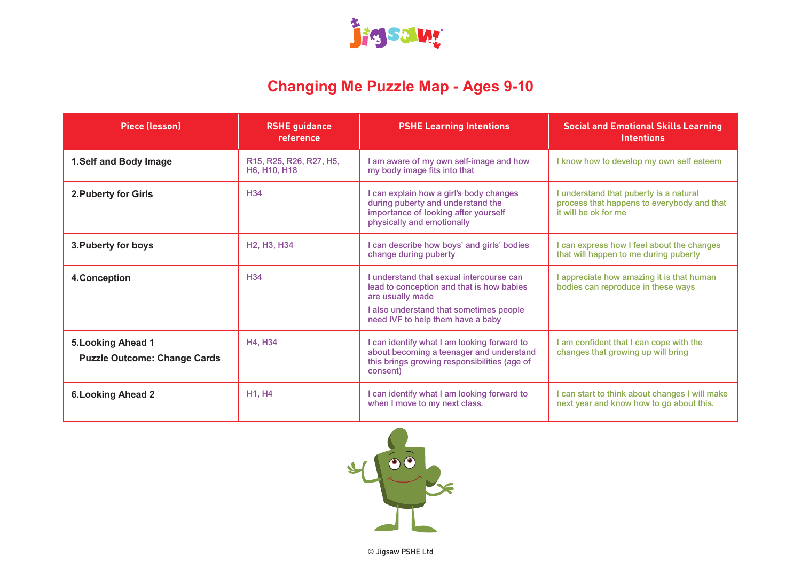

## **Changing Me Puzzle Map - Ages 9-10**

| <b>Piece (lesson)</b>                                            | <b>RSHE</b> guidance<br>reference                 | <b>PSHE Learning Intentions</b>                                                                                                                                                           | <b>Social and Emotional Skills Learning</b><br><b>Intentions</b>                                             |
|------------------------------------------------------------------|---------------------------------------------------|-------------------------------------------------------------------------------------------------------------------------------------------------------------------------------------------|--------------------------------------------------------------------------------------------------------------|
| 1.Self and Body Image                                            | R15, R25, R26, R27, H5,<br>H6, H10, H18           | I am aware of my own self-image and how<br>my body image fits into that                                                                                                                   | I know how to develop my own self esteem                                                                     |
| 2. Puberty for Girls                                             | H <sub>34</sub>                                   | I can explain how a girl's body changes<br>during puberty and understand the<br>importance of looking after yourself<br>physically and emotionally                                        | I understand that puberty is a natural<br>process that happens to everybody and that<br>it will be ok for me |
| 3. Puberty for boys                                              | H <sub>2</sub> , H <sub>3</sub> , H <sub>34</sub> | I can describe how boys' and girls' bodies<br>change during puberty                                                                                                                       | can express how I feel about the changes<br>that will happen to me during puberty                            |
| 4.Conception                                                     | H <sub>34</sub>                                   | I understand that sexual intercourse can<br>lead to conception and that is how babies<br>are usually made<br>I also understand that sometimes people<br>need IVF to help them have a baby | I appreciate how amazing it is that human<br>bodies can reproduce in these ways                              |
| <b>5. Looking Ahead 1</b><br><b>Puzzle Outcome: Change Cards</b> | H4, H34                                           | I can identify what I am looking forward to<br>about becoming a teenager and understand<br>this brings growing responsibilities (age of<br>consent)                                       | I am confident that I can cope with the<br>changes that growing up will bring                                |
| <b>6. Looking Ahead 2</b>                                        | H1, H4                                            | I can identify what I am looking forward to<br>when I move to my next class.                                                                                                              | I can start to think about changes I will make<br>next year and know how to go about this.                   |